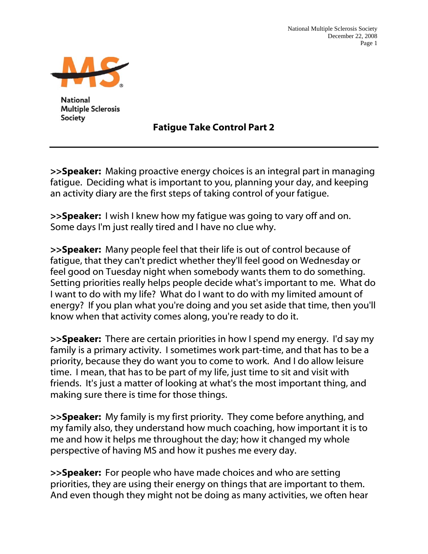

**National Multiple Sclerosis Society** 

Fatigue Take Control Part 2

>>Speaker: Making proactive energy choices is an integral part in managing fatigue. Deciding what is important to you, planning your day, and keeping an activity diary are the first steps of taking control of your fatigue.

**>>Speaker:** I wish I knew how my fatique was going to vary off and on. Some days I'm just really tired and I have no clue why.

>>Speaker: Many people feel that their life is out of control because of fatigue, that they can't predict whether they'll feel good on Wednesday or feel good on Tuesday night when somebody wants them to do something. Setting priorities really helps people decide what's important to me. What do I want to do with my life? What do I want to do with my limited amount of energy? If you plan what you're doing and you set aside that time, then you'll know when that activity comes along, you're ready to do it.

>>Speaker: There are certain priorities in how I spend my energy. I'd say my family is a primary activity. I sometimes work part-time, and that has to be a priority, because they do want you to come to work. And I do allow leisure time. I mean, that has to be part of my life, just time to sit and visit with friends. It's just a matter of looking at what's the most important thing, and making sure there is time for those things.

>>Speaker: My family is my first priority. They come before anything, and my family also, they understand how much coaching, how important it is to me and how it helps me throughout the day; how it changed my whole perspective of having MS and how it pushes me every day.

>>Speaker: For people who have made choices and who are setting priorities, they are using their energy on things that are important to them. And even though they might not be doing as many activities, we often hear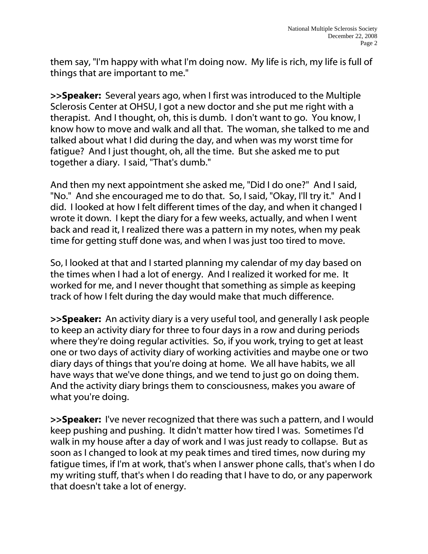them say, "I'm happy with what I'm doing now. My life is rich, my life is full of things that are important to me."

>>Speaker: Several years ago, when I first was introduced to the Multiple Sclerosis Center at OHSU, I got a new doctor and she put me right with a therapist. And I thought, oh, this is dumb. I don't want to go. You know, I know how to move and walk and all that. The woman, she talked to me and talked about what I did during the day, and when was my worst time for fatigue? And I just thought, oh, all the time. But she asked me to put together a diary. I said, "That's dumb."

And then my next appointment she asked me, "Did I do one?" And I said, "No." And she encouraged me to do that. So, I said, "Okay, I'll try it." And I did. I looked at how I felt different times of the day, and when it changed I wrote it down. I kept the diary for a few weeks, actually, and when I went back and read it, I realized there was a pattern in my notes, when my peak time for getting stuff done was, and when I was just too tired to move.

So, I looked at that and I started planning my calendar of my day based on the times when I had a lot of energy. And I realized it worked for me. It worked for me, and I never thought that something as simple as keeping track of how I felt during the day would make that much difference.

>>Speaker: An activity diary is a very useful tool, and generally I ask people to keep an activity diary for three to four days in a row and during periods where they're doing regular activities. So, if you work, trying to get at least one or two days of activity diary of working activities and maybe one or two diary days of things that you're doing at home. We all have habits, we all have ways that we've done things, and we tend to just go on doing them. And the activity diary brings them to consciousness, makes you aware of what you're doing.

>>Speaker: I've never recognized that there was such a pattern, and I would keep pushing and pushing. It didn't matter how tired I was. Sometimes I'd walk in my house after a day of work and I was just ready to collapse. But as soon as I changed to look at my peak times and tired times, now during my fatigue times, if I'm at work, that's when I answer phone calls, that's when I do my writing stuff, that's when I do reading that I have to do, or any paperwork that doesn't take a lot of energy.